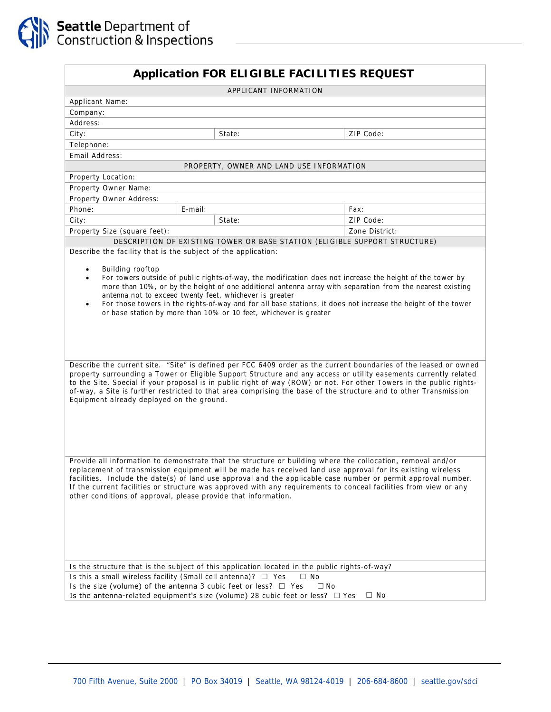|                              | <b>Application FOR ELIGIBLE FACILITIES REQUEST</b>                                                                                                         |                       |                                          |                                                                                                                                                                                                                                                                                                                                                                                                                                                                                  |
|------------------------------|------------------------------------------------------------------------------------------------------------------------------------------------------------|-----------------------|------------------------------------------|----------------------------------------------------------------------------------------------------------------------------------------------------------------------------------------------------------------------------------------------------------------------------------------------------------------------------------------------------------------------------------------------------------------------------------------------------------------------------------|
|                              |                                                                                                                                                            | APPLICANT INFORMATION |                                          |                                                                                                                                                                                                                                                                                                                                                                                                                                                                                  |
| Applicant Name:              |                                                                                                                                                            |                       |                                          |                                                                                                                                                                                                                                                                                                                                                                                                                                                                                  |
| Company:                     |                                                                                                                                                            |                       |                                          |                                                                                                                                                                                                                                                                                                                                                                                                                                                                                  |
| Address:                     |                                                                                                                                                            |                       |                                          |                                                                                                                                                                                                                                                                                                                                                                                                                                                                                  |
| City:                        | State:                                                                                                                                                     |                       |                                          | ZIP Code:                                                                                                                                                                                                                                                                                                                                                                                                                                                                        |
| Telephone:                   |                                                                                                                                                            |                       |                                          |                                                                                                                                                                                                                                                                                                                                                                                                                                                                                  |
| Email Address:               |                                                                                                                                                            |                       |                                          |                                                                                                                                                                                                                                                                                                                                                                                                                                                                                  |
|                              |                                                                                                                                                            |                       | PROPERTY, OWNER AND LAND USE INFORMATION |                                                                                                                                                                                                                                                                                                                                                                                                                                                                                  |
| Property Location:           |                                                                                                                                                            |                       |                                          |                                                                                                                                                                                                                                                                                                                                                                                                                                                                                  |
| Property Owner Name:         |                                                                                                                                                            |                       |                                          |                                                                                                                                                                                                                                                                                                                                                                                                                                                                                  |
| Property Owner Address:      |                                                                                                                                                            |                       |                                          |                                                                                                                                                                                                                                                                                                                                                                                                                                                                                  |
| Phone:                       | $E$ -mail:                                                                                                                                                 |                       | Fax:                                     |                                                                                                                                                                                                                                                                                                                                                                                                                                                                                  |
| City:                        | State:                                                                                                                                                     |                       |                                          | ZIP Code:                                                                                                                                                                                                                                                                                                                                                                                                                                                                        |
| Property Size (square feet): |                                                                                                                                                            |                       |                                          | Zone District:                                                                                                                                                                                                                                                                                                                                                                                                                                                                   |
|                              | DESCRIPTION OF EXISTING TOWER OR BASE STATION (ELIGIBLE SUPPORT STRUCTURE)                                                                                 |                       |                                          |                                                                                                                                                                                                                                                                                                                                                                                                                                                                                  |
|                              | Describe the facility that is the subject of the application:                                                                                              |                       |                                          |                                                                                                                                                                                                                                                                                                                                                                                                                                                                                  |
|                              |                                                                                                                                                            |                       |                                          | Describe the current site. "Site" is defined per FCC 6409 order as the current boundaries of the leased or owned<br>property surrounding a Tower or Eligible Support Structure and any access or utility easements currently related<br>to the Site. Special if your proposal is in public right of way (ROW) or not. For other Towers in the public rights-<br>of-way, a Site is further restricted to that area comprising the base of the structure and to other Transmission |
|                              | Equipment already deployed on the ground.                                                                                                                  |                       |                                          | Provide all information to demonstrate that the structure or building where the collocation, removal and/or                                                                                                                                                                                                                                                                                                                                                                      |
|                              | other conditions of approval, please provide that information.                                                                                             |                       |                                          | replacement of transmission equipment will be made has received land use approval for its existing wireless<br>facilities. Include the date(s) of land use approval and the applicable case number or permit approval number.<br>If the current facilities or structure was approved with any requirements to conceal facilities from view or any                                                                                                                                |
|                              |                                                                                                                                                            |                       |                                          |                                                                                                                                                                                                                                                                                                                                                                                                                                                                                  |
|                              | Is the structure that is the subject of this application located in the public rights-of-way?                                                              |                       |                                          |                                                                                                                                                                                                                                                                                                                                                                                                                                                                                  |
|                              | Is this a small wireless facility (Small cell antenna)? $\Box$ Yes                                                                                         |                       | $\Box$ No                                |                                                                                                                                                                                                                                                                                                                                                                                                                                                                                  |
|                              | Is the size (volume) of the antenna 3 cubic feet or less? $\Box$ Yes<br>Is the antenna-related equipment's size (volume) 28 cubic feet or less? $\Box$ Yes |                       | $\Box$ No                                |                                                                                                                                                                                                                                                                                                                                                                                                                                                                                  |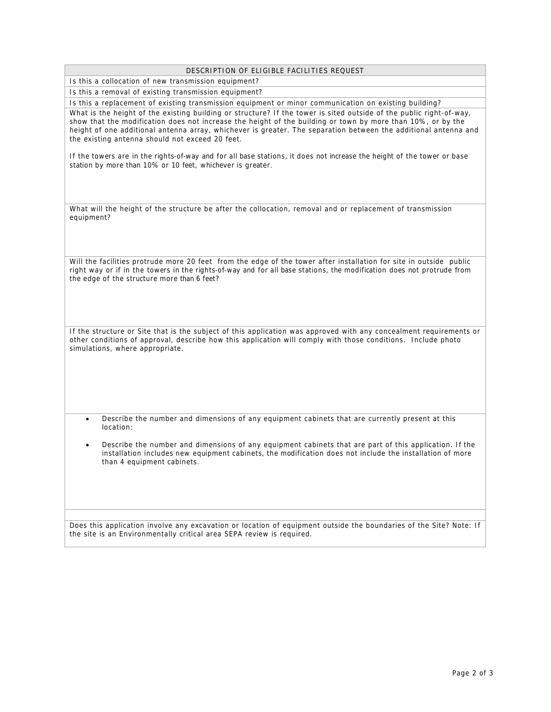| DESCRIPTION OF ELIGIBLE FACILITIES REQUEST |  |  |
|--------------------------------------------|--|--|
|                                            |  |  |

Is this a collocation of new transmission equipment?

Is this a removal of existing transmission equipment?

Is this a replacement of existing transmission equipment or minor communication on existing building? What is the height of the existing building or structure? If the tower is sited outside of the public right-of-way, show that the modification does not increase the height of the building or town by more than 10%, or by the height of one additional antenna array, whichever is greater. The separation between the additional antenna and the existing antenna should not exceed 20 feet.

If the towers are in the rights-of-way and for all base stations, it does not increase the height of the tower or base station by more than 10% or 10 feet, whichever is greater.

What will the height of the structure be after the collocation, removal and or replacement of transmission equipment?

Will the facilities protrude more 20 feet from the edge of the tower after installation for site in outside public right way or if in the towers in the rights-of-way and for all base stations, the modification does not protrude from the edge of the structure more than 6 feet?

If the structure or Site that is the subject of this application was approved with any concealment requirements or other conditions of approval, describe how this application will comply with those conditions. Include photo simulations, where appropriate.

• Describe the number and dimensions of any equipment cabinets that are currently present at this location:

• Describe the number and dimensions of any equipment cabinets that are part of this application. If the installation includes new equipment cabinets, the modification does not include the installation of more than 4 equipment cabinets.

Does this application involve any excavation or location of equipment outside the boundaries of the Site? Note: If the site is an Environmentally critical area SEPA review is required.